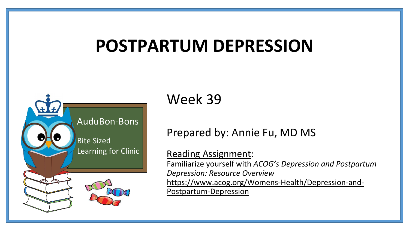# **POSTPARTUM DEPRESSION**



Week 39

## Prepared by: Annie Fu, MD MS

### Reading Assignment:

Familiarize yourself with *ACOG's Depression and Postpartum Depression: Resource Overview* [https://www.acog.org/Womens-Health/Depression-and-](https://www.acog.org/Womens-Health/Depression-and-Postpartum-Depression)Postpartum-Depression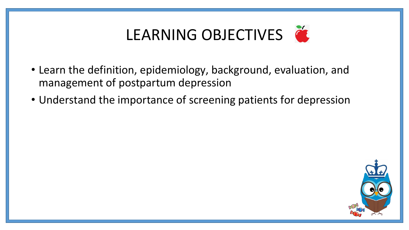# LEARNING OBJECTIVES

- Learn the definition, epidemiology, background, evaluation, and management of postpartum depression
- Understand the importance of screening patients for depression

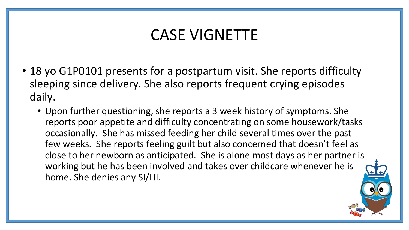## CASE VIGNETTE

- 18 yo G1P0101 presents for a postpartum visit. She reports difficulty sleeping since delivery. She also reports frequent crying episodes daily.
	- Upon further questioning, she reports a 3 week history of symptoms. She reports poor appetite and difficulty concentrating on some housework/tasks occasionally. She has missed feeding her child several times over the past few weeks. She reports feeling guilt but also concerned that doesn't feel as close to her newborn as anticipated. She is alone most days as her partner is working but he has been involved and takes over childcare whenever he is home. She denies any SI/HI.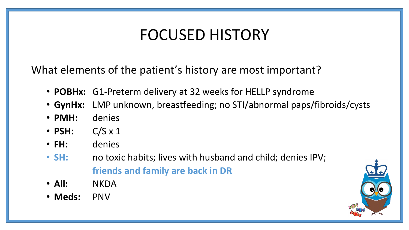# FOCUSED HISTORY

What elements of the patient's history are most important?

- **POBHx:** G1-Preterm delivery at 32 weeks for HELLP syndrome
- **GynHx:** LMP unknown, breastfeeding; no STI/abnormal paps/fibroids/cysts
- **PMH:** denies
- **PSH:** C/S x 1
- **FH:** denies
- **SH:** no toxic habits; lives with husband and child; denies IPV; **friends and family are back in DR**
- **All:** NKDA
- **Meds:** PNV

![](_page_3_Picture_10.jpeg)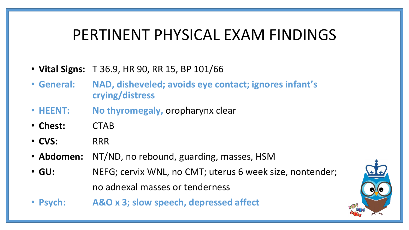## PERTINENT PHYSICAL EXAM FINDINGS

- **Vital Signs:** T 36.9, HR 90, RR 15, BP 101/66
- **General: NAD, disheveled; avoids eye contact; ignores infant's crying/distress**
- **HEENT: No thyromegaly,** oropharynx clear
- **Chest:** CTAB
- **CVS:** RRR
- **Abdomen:** NT/ND, no rebound, guarding, masses, HSM
- **GU:** NEFG; cervix WNL, no CMT; uterus 6 week size, nontender; no adnexal masses or tenderness
- **Psych: A&O x 3; slow speech, depressed affect**

![](_page_4_Picture_9.jpeg)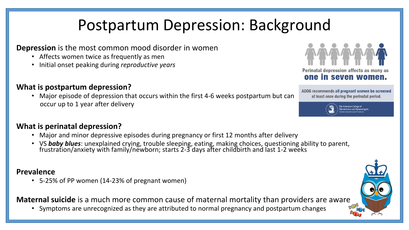# Postpartum Depression: Background

#### **Depression** is the most common mood disorder in women

- Affects women twice as frequently as men
- Initial onset peaking during *reproductive years*

#### **What is postpartum depression?**

• Major episode of depression that occurs within the first 4-6 weeks postpartum but can occur up to 1 year after delivery

#### **What is perinatal depression?**

- Major and minor depressive episodes during pregnancy or first 12 months after delivery
- VS *baby blues*: unexplained crying, trouble sleeping, eating, making choices, questioning ability to parent, frustration/anxiety with family/newborn; starts 2-3 days after childbirth and last 1-2 weeks

#### **Prevalence**

• 5-25% of PP women (14-23% of pregnant women)

**Maternal suicide** is a much more common cause of maternal mortality than providers are aware

• Symptoms are unrecognized as they are attributed to normal pregnancy and postpartum changes

![](_page_5_Picture_13.jpeg)

ACOG recommends all pregnant women be screened at least once during the perinatal period.

![](_page_5_Picture_15.jpeg)

tricians and Gynecole

![](_page_5_Picture_17.jpeg)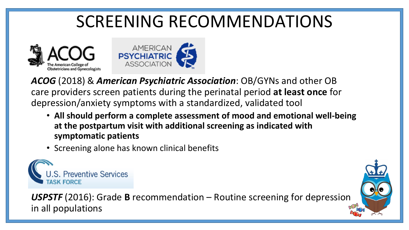# SCREENING RECOMMENDATIONS

![](_page_6_Picture_1.jpeg)

![](_page_6_Picture_2.jpeg)

*ACOG* (2018) & *American Psychiatric Association*: OB/GYNs and other OB care providers screen patients during the perinatal period **at least once** for depression/anxiety symptoms with a standardized, validated tool

- **All should perform a complete assessment of mood and emotional well-being at the postpartum visit with additional screening as indicated with symptomatic patients**
- Screening alone has known clinical benefits

![](_page_6_Picture_6.jpeg)

*USPSTF* (2016): Grade **B** recommendation – Routine screening for depression in all populations

![](_page_6_Picture_8.jpeg)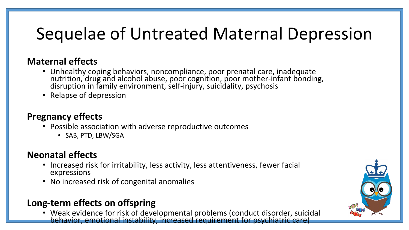# Sequelae of Untreated Maternal Depression

### **Maternal effects**

- Unhealthy coping behaviors, noncompliance, poor prenatal care, inadequate nutrition, drug and alcohol abuse, poor cognition, poor mother-infant bonding, disruption in family environment, self-injury, suicidality, psychosis
- Relapse of depression

### **Pregnancy effects**

- Possible association with adverse reproductive outcomes
	- SAB, PTD, LBW/SGA

### **Neonatal effects**

- Increased risk for irritability, less activity, less attentiveness, fewer facial expressions
- No increased risk of congenital anomalies

## **Long-term effects on offspring**

• Weak evidence for risk of developmental problems (conduct disorder, suicidal behavior, emotional instability, increased requirement for psychiatric care)

![](_page_7_Picture_12.jpeg)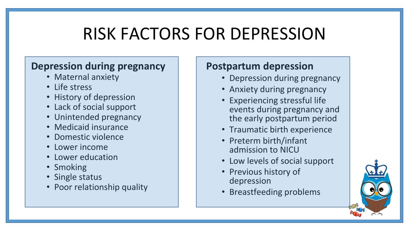# RISK FACTORS FOR DEPRESSION

## **Depression during pregnancy**

- Maternal anxiety
- Life stress
- History of depression
- Lack of social support
- Unintended pregnancy
- Medicaid insurance
- Domestic violence
- Lower income
- Lower education
- Smoking
- Single status
- Poor relationship quality

## **Postpartum depression**

- Depression during pregnancy
- Anxiety during pregnancy
- Experiencing stressful life events during pregnancy and the early postpartum period
- Traumatic birth experience
- Preterm birth/infant admission to NICU
- Low levels of social support
- Previous history of depression
- Breastfeeding problems

![](_page_8_Picture_23.jpeg)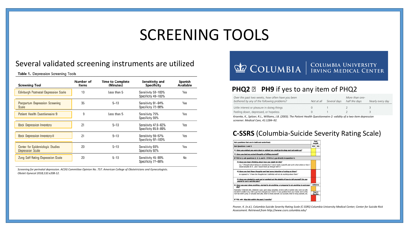## SCREENING TOOLS

#### Several validated screening instruments are utilized

Table 1. Depression Screening Tools

| <b>Screening Tool</b>                                       | Number of<br>ltems | <b>Time to Complete</b><br>(Minutes) | Sensitivity and<br>Specificity               | Spanish<br>Available |
|-------------------------------------------------------------|--------------------|--------------------------------------|----------------------------------------------|----------------------|
| Edinburgh Postnatal Depression Scale                        | 10                 | Less than 5                          | Sensitivity 59-100%<br>Specificity 49-100%   | Yes                  |
| Postpartum Depression Screening<br>Scale                    | 35                 | $5 - 10$                             | Sensitivity 91-94%<br>Specificity 72-98%     | Yes                  |
| Patient Health Questionnaire 9                              | 9                  | Less than 5                          | Sensitivity 75%<br>Specificity 90%           | Yes                  |
| Beck Depression Inventory                                   | 21                 | $5 - 10$                             | Sensitivity 47.6-82%<br>Specificity 85.9-89% | Yes                  |
| Beck Depression Inventory-II                                | 21                 | $5 - 10$                             | Sensitivity 56-57%<br>Specificity 97-100%    | Yes                  |
| Center for Epidemiologic Studies<br><b>Depression Scale</b> | 20                 | $5 - 10$                             | Sensitivity 60%<br>Specificity 92%           | Yes                  |
| Zung Self-Rating Depression Scale                           | 20                 | $5 - 10$                             | Sensitivity 45-89%<br>Specificity 77-88%     | No                   |

*Screening for perinatal depression. ACOG Committee Opinion No. 757. American College of Obstetricians and Gynecologists. Obstet Gynecol 2018;132:e208-12.*

## **COLUMBIA** EQUUMBIA UNIVERSITY

#### **PHQ2 PH9** if yes to any item of PHQ2

| Over the past two weeks, how often have you been<br>bothered by any of the following problems?                                                                                                                                                                                                                                                                                | Not at all | Several days | More than one-<br>half the days | Nearly every day |
|-------------------------------------------------------------------------------------------------------------------------------------------------------------------------------------------------------------------------------------------------------------------------------------------------------------------------------------------------------------------------------|------------|--------------|---------------------------------|------------------|
| Little interest or pleasure in doing things                                                                                                                                                                                                                                                                                                                                   |            |              |                                 |                  |
| Feeling down, depressed, or hopeless                                                                                                                                                                                                                                                                                                                                          |            |              |                                 |                  |
| $\mathcal{U} = \mathcal{U} + \mathcal{U} + \mathcal{U}$ , and $\mathcal{U} = \mathcal{U}$ , and $\mathcal{V} = \mathcal{U}$ , $\mathcal{U} = \mathcal{U}$ , $\mathcal{U} = \mathcal{U}$ , $\mathcal{U} = \mathcal{U}$ , $\mathcal{U} = \mathcal{U}$ , $\mathcal{U} = \mathcal{U}$ , $\mathcal{U} = \mathcal{U}$ , $\mathcal{U} = \mathcal{U}$ , $\mathcal{U} = \mathcal{U}$ , |            |              |                                 |                  |

*Kroenke, K., Spitzer, R.L., Williams, J.B. (2003). The Patient Health Questionnaire-2: validity of a two-item depression screener. Medical Care, 41:1284–92.*

#### **C-SSRS** (Columbia-Suicide Severity Rating Scale)

![](_page_9_Picture_10.jpeg)

*Posner, K. (n.d.). Columbia‐Suicide Severity Rating Scale (C‐SSRS) Columbia University Medical Center; Center for Suicide Risk Assessment. Retrieved from http://www.cssrs.columbia.edu/*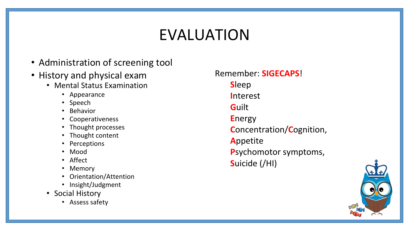# EVALUATION

- Administration of screening tool
- History and physical exam
	- Mental Status Examination
		- Appearance
		- Speech
		- Behavior
		- Cooperativeness
		- Thought processes
		- Thought content
		- Perceptions
		- Mood
		- Affect
		- Memory
		- Orientation/Attention
		- Insight/Judgment
	- Social History
		- Assess safety

Remember: **SIGECAPS**! **S**leep **I**nterest **G**uilt **E**nergy **C**oncentration/**C**ognition, **A**ppetite **P**sychomotor symptoms, **S**uicide (/HI)

![](_page_10_Picture_19.jpeg)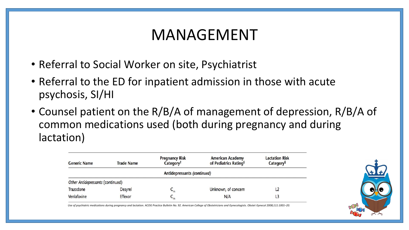## MANAGEMENT

- Referral to Social Worker on site, Psychiatrist
- Referral to the ED for inpatient admission in those with acute psychosis, SI/HI
- Counsel patient on the R/B/A of management of depression, R/B/A of common medications used (both during pregnancy and during lactation)

| <b>Generic Name</b>               | <b>Trade Name</b> | <b>Pregnancy Risk</b><br>Category <sup>†</sup> | <b>American Academy</b><br>of Pediatrics Rating <sup>‡</sup> | <b>Lactation Risk</b><br>Category <sup>§</sup> |  |  |  |  |  |
|-----------------------------------|-------------------|------------------------------------------------|--------------------------------------------------------------|------------------------------------------------|--|--|--|--|--|
| Antidepressants (continued)       |                   |                                                |                                                              |                                                |  |  |  |  |  |
| Other Antidepressants (continued) |                   |                                                |                                                              |                                                |  |  |  |  |  |
| Trazodone                         | <b>Desyrel</b>    | $C_m$                                          | Unknown, of concern                                          | L2                                             |  |  |  |  |  |
| Venlafaxine                       | Effexor           | $-m$                                           | N/A                                                          | L3                                             |  |  |  |  |  |

![](_page_11_Picture_5.jpeg)

*Use of psychiatric medications during pregnancy and lactation. ACOG Practice Bulletin No. 92. American College of Obstetricians and Gynecologists. Obstet Gynecol 2008;111:1001–20.*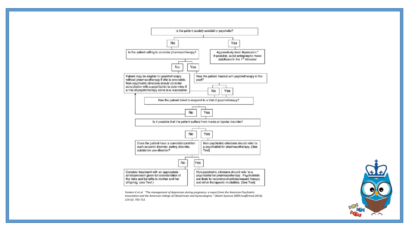![](_page_12_Figure_0.jpeg)

*Yonkers K et al. "The management of depression during pregnancy: a report from the American Psychiatric Association and the American College of Obstetrician and Gynecologists." Obstet Gynecol 2009 (reaffirmed 2014); 114 (3): 703-713.*

![](_page_12_Picture_2.jpeg)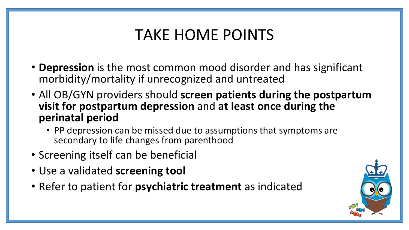# TAKE HOME POINTS

- **Depression** is the most common mood disorder and has significant morbidity/mortality if unrecognized and untreated
- All OB/GYN providers should **screen patients during the postpartum visit for postpartum depression** and **at least once during the perinatal period** 
	- PP depression can be missed due to assumptions that symptoms are secondary to life changes from parenthood
- Screening itself can be beneficial
- Use a validated **screening tool**
- Refer to patient for **psychiatric treatment** as indicated

![](_page_13_Picture_7.jpeg)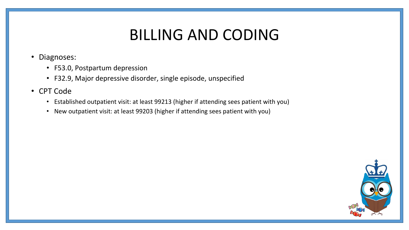## BILLING AND CODING

- Diagnoses:
	- F53.0, Postpartum depression
	- F32.9, Major depressive disorder, single episode, unspecified
- CPT Code
	- Established outpatient visit: at least 99213 (higher if attending sees patient with you)
	- New outpatient visit: at least 99203 (higher if attending sees patient with you)

![](_page_14_Picture_7.jpeg)